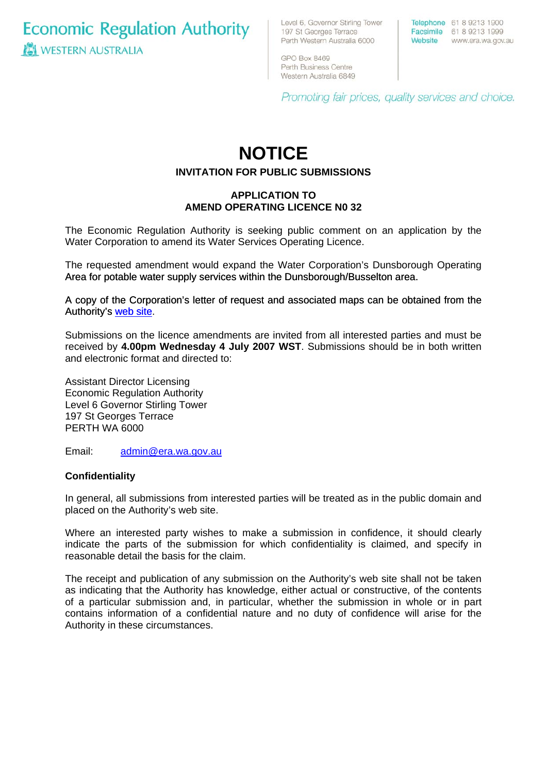**Economic Regulation Authority WESTERN AUSTRALIA** 

Level 6, Governor Stirling Tower 197 St Georges Terrace Perth Western Australia 6000

Telephone 61 8 9213 1900 Facsimile 61 8 9213 1999 Website www.era.wa.gov.au

GPO Box 8469 Perth Business Centre Western Australia 6849

Promoting fair prices, quality services and choice.

# **NOTICE**

## **INVITATION FOR PUBLIC SUBMISSIONS**

## **APPLICATION TO AMEND OPERATING LICENCE N0 32**

The Economic Regulation Authority is seeking public comment on an application by the Water Corporation to amend its Water Services Operating Licence.

The requested amendment would expand the Water Corporation's Dunsborough Operating Area for potable water supply services within the Dunsborough/Busselton area.

[A copy of the Corporation's letter of request and associated maps can be obtained from the](http://www.era.wa.gov.au/cproot/5667/25637/20070614%20Water%20Corporation%20-%20Application%20to%20Amend%20Operating%20Licence%20No%2032.pdf)  [Authority's web site.](http://www.era.wa.gov.au/cproot/5667/25637/20070614%20Water%20Corporation%20-%20Application%20to%20Amend%20Operating%20Licence%20No%2032.pdf)

Submissions on the licence amendments are invited from all interested parties and must be received by **4.00pm Wednesday 4 July 2007 WST**. Submissions should be in both written and electronic format and directed to:

Assistant Director Licensing Economic Regulation Authority Level 6 Governor Stirling Tower 197 St Georges Terrace PERTH WA 6000

Email: [admin@era.wa.gov.au](mailto:admin@era.wa.gov.au) 

#### **Confidentiality**

In general, all submissions from interested parties will be treated as in the public domain and placed on the Authority's web site.

Where an interested party wishes to make a submission in confidence, it should clearly indicate the parts of the submission for which confidentiality is claimed, and specify in reasonable detail the basis for the claim.

The receipt and publication of any submission on the Authority's web site shall not be taken as indicating that the Authority has knowledge, either actual or constructive, of the contents of a particular submission and, in particular, whether the submission in whole or in part contains information of a confidential nature and no duty of confidence will arise for the Authority in these circumstances.